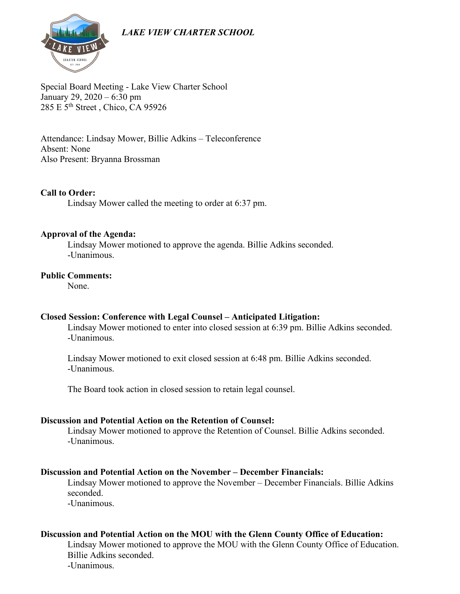*LAKE VIEW CHARTER SCHOOL*



Special Board Meeting - Lake View Charter School January 29, 2020 – 6:30 pm 285 E 5th Street , Chico, CA 95926

Attendance: Lindsay Mower, Billie Adkins – Teleconference Absent: None Also Present: Bryanna Brossman

## **Call to Order:**

Lindsay Mower called the meeting to order at 6:37 pm.

#### **Approval of the Agenda:**

Lindsay Mower motioned to approve the agenda. Billie Adkins seconded. -Unanimous.

#### **Public Comments:**

None.

#### **Closed Session: Conference with Legal Counsel – Anticipated Litigation:**

Lindsay Mower motioned to enter into closed session at 6:39 pm. Billie Adkins seconded. -Unanimous.

Lindsay Mower motioned to exit closed session at 6:48 pm. Billie Adkins seconded. -Unanimous.

The Board took action in closed session to retain legal counsel.

## **Discussion and Potential Action on the Retention of Counsel:**

Lindsay Mower motioned to approve the Retention of Counsel. Billie Adkins seconded. -Unanimous.

#### **Discussion and Potential Action on the November – December Financials:**

Lindsay Mower motioned to approve the November – December Financials. Billie Adkins seconded.

-Unanimous.

#### **Discussion and Potential Action on the MOU with the Glenn County Office of Education:**

Lindsay Mower motioned to approve the MOU with the Glenn County Office of Education. Billie Adkins seconded. -Unanimous.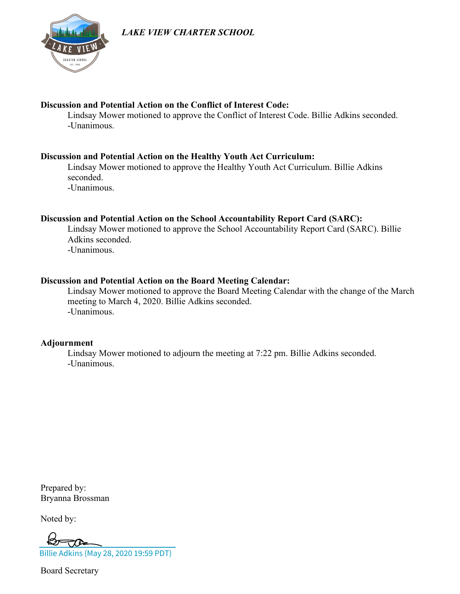*LAKE VIEW CHARTER SCHOOL*



# **Discussion and Potential Action on the Conflict of Interest Code:**

Lindsay Mower motioned to approve the Conflict of Interest Code. Billie Adkins seconded. -Unanimous.

# **Discussion and Potential Action on the Healthy Youth Act Curriculum:**

Lindsay Mower motioned to approve the Healthy Youth Act Curriculum. Billie Adkins seconded.

-Unanimous.

# **Discussion and Potential Action on the School Accountability Report Card (SARC):**

Lindsay Mower motioned to approve the School Accountability Report Card (SARC). Billie Adkins seconded. -Unanimous.

# **Discussion and Potential Action on the Board Meeting Calendar:**

Lindsay Mower motioned to approve the Board Meeting Calendar with the change of the March meeting to March 4, 2020. Billie Adkins seconded. -Unanimous.

# **Adjournment**

Lindsay Mower motioned to adjourn the meeting at 7:22 pm. Billie Adkins seconded. -Unanimous.

Prepared by: Bryanna Brossman

Noted by:

[Billie Adkins \(May 28, 2020 19:59 PDT\)](https://na2.documents.adobe.com/verifier?tx=CBJCHBCAABAAJsr1gQb7f9QnD7qj_hidZCco-Dh9t6h1)

Board Secretary